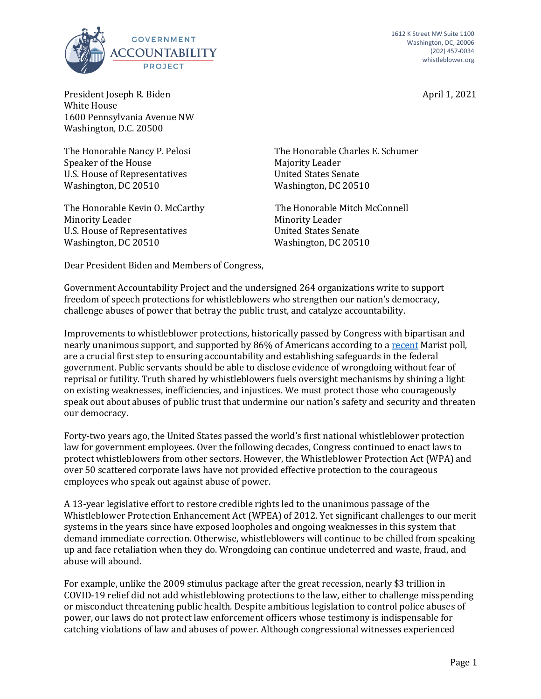



President Joseph R. Biden April 1, 2021 White House 1600 Pennsylvania Avenue NW Washington, D.C. 20500

The Honorable Nancy P. Pelosi Speaker of the House U.S. House of Representatives Washington, DC 20510

The Honorable Kevin O. McCarthy Minority Leader U.S. House of Representatives Washington, DC 20510

The Honorable Charles E. Schumer Majority Leader United States Senate Washington, DC 20510

The Honorable Mitch McConnell Minority Leader United States Senate Washington, DC 20510

Dear President Biden and Members of Congress,

Government Accountability Project and the undersigned 264 organizations write to support freedom of speech protections for whistleblowers who strengthen our nation's democracy, challenge abuses of power that betray the public trust, and catalyze accountability.

Improvements to whistleblower protections, historically passed by Congress with bipartisan and nearly unanimous support, and supported by 86% of Americans according to a recent Marist poll, are a crucial first step to ensuring accountability and establishing safeguards in the federal government. Public servants should be able to disclose evidence of wrongdoing without fear of reprisal or futility. Truth shared by whistleblowers fuels oversight mechanisms by shining a light on existing weaknesses, inefficiencies, and injustices. We must protect those who courageously speak out about abuses of public trust that undermine our nation's safety and security and threaten our democracy.

Forty-two years ago, the United States passed the world's first national whistleblower protection law for government employees. Over the following decades, Congress continued to enact laws to protect whistleblowers from other sectors. However, the Whistleblower Protection Act (WPA) and over 50 scattered corporate laws have not provided effective protection to the courageous employees who speak out against abuse of power.

A 13-year legislative effort to restore credible rights led to the unanimous passage of the Whistleblower Protection Enhancement Act (WPEA) of 2012. Yet significant challenges to our merit systems in the years since have exposed loopholes and ongoing weaknesses in this system that demand immediate correction. Otherwise, whistleblowers will continue to be chilled from speaking up and face retaliation when they do. Wrongdoing can continue undeterred and waste, fraud, and abuse will abound.

For example, unlike the 2009 stimulus package after the great recession, nearly \$3 trillion in COVID-19 relief did not add whistleblowing protections to the law, either to challenge misspending or misconduct threatening public health. Despite ambitious legislation to control police abuses of power, our laws do not protect law enforcement officers whose testimony is indispensable for catching violations of law and abuses of power. Although congressional witnesses experienced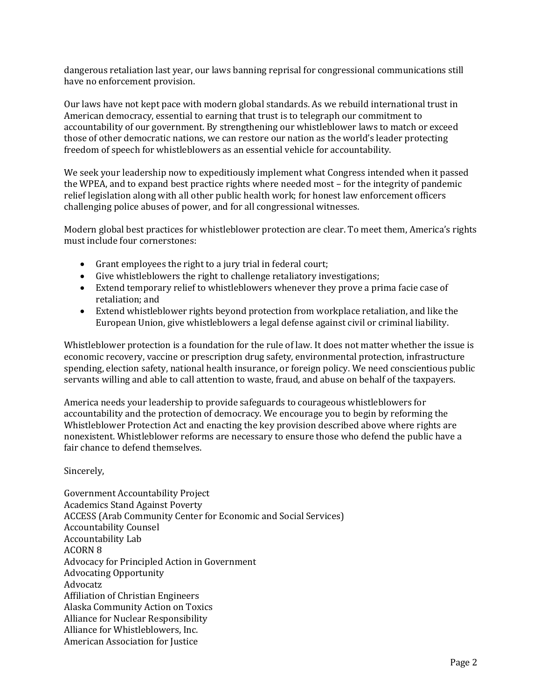dangerous retaliation last year, our laws banning reprisal for congressional communications still have no enforcement provision.

Our laws have not kept pace with modern global standards. As we rebuild international trust in American democracy, essential to earning that trust is to telegraph our commitment to accountability of our government. By strengthening our whistleblower laws to match or exceed those of other democratic nations, we can restore our nation as the world's leader protecting freedom of speech for whistleblowers as an essential vehicle for accountability.

We seek your leadership now to expeditiously implement what Congress intended when it passed the WPEA, and to expand best practice rights where needed most – for the integrity of pandemic relief legislation along with all other public health work; for honest law enforcement officers challenging police abuses of power, and for all congressional witnesses.

Modern global best practices for whistleblower protection are clear. To meet them, America's rights must include four cornerstones:

- Grant employees the right to a jury trial in federal court;
- Give whistleblowers the right to challenge retaliatory investigations;
- Extend temporary relief to whistleblowers whenever they prove a prima facie case of retaliation; and
- Extend whistleblower rights beyond protection from workplace retaliation, and like the European Union, give whistleblowers a legal defense against civil or criminal liability.

Whistleblower protection is a foundation for the rule of law. It does not matter whether the issue is economic recovery, vaccine or prescription drug safety, environmental protection, infrastructure spending, election safety, national health insurance, or foreign policy. We need conscientious public servants willing and able to call attention to waste, fraud, and abuse on behalf of the taxpayers.

America needs your leadership to provide safeguards to courageous whistleblowers for accountability and the protection of democracy. We encourage you to begin by reforming the Whistleblower Protection Act and enacting the key provision described above where rights are nonexistent. Whistleblower reforms are necessary to ensure those who defend the public have a fair chance to defend themselves.

Sincerely,

Government Accountability Project Academics Stand Against Poverty ACCESS (Arab Community Center for Economic and Social Services) Accountability Counsel Accountability Lab **ACORN 8** Advocacy for Principled Action in Government Advocating Opportunity Advocatz Affiliation of Christian Engineers Alaska Community Action on Toxics Alliance for Nuclear Responsibility Alliance for Whistleblowers, Inc. American Association for Justice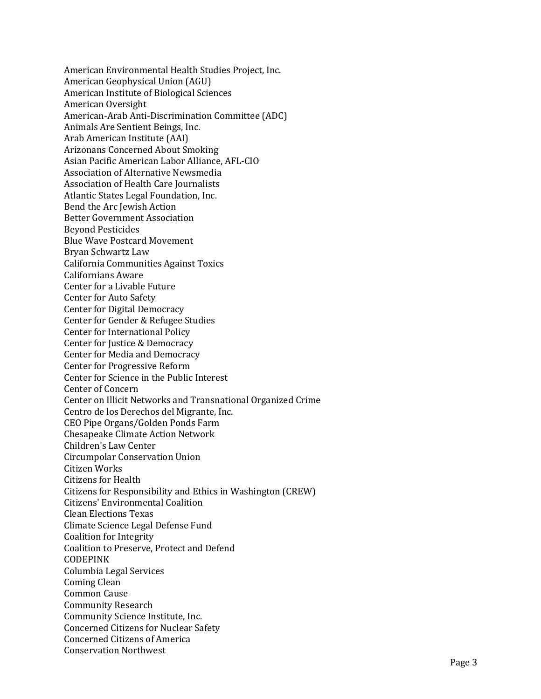American Environmental Health Studies Project, Inc. American Geophysical Union (AGU) American Institute of Biological Sciences American Oversight American-Arab Anti-Discrimination Committee (ADC) Animals Are Sentient Beings, Inc. Arab American Institute (AAI) Arizonans Concerned About Smoking Asian Pacific American Labor Alliance, AFL-CIO Association of Alternative Newsmedia Association of Health Care Journalists Atlantic States Legal Foundation, Inc. Bend the Arc Jewish Action **Better Government Association** Beyond Pesticides Blue Wave Postcard Movement Bryan Schwartz Law California Communities Against Toxics Californians Aware Center for a Livable Future Center for Auto Safety Center for Digital Democracy Center for Gender & Refugee Studies Center for International Policy Center for Justice & Democracy Center for Media and Democracy Center for Progressive Reform Center for Science in the Public Interest Center of Concern Center on Illicit Networks and Transnational Organized Crime Centro de los Derechos del Migrante, Inc. CEO Pipe Organs/Golden Ponds Farm Chesapeake Climate Action Network Children's Law Center Circumpolar Conservation Union Citizen Works Citizens for Health Citizens for Responsibility and Ethics in Washington (CREW) Citizens' Environmental Coalition Clean Elections Texas Climate Science Legal Defense Fund Coalition for Integrity Coalition to Preserve, Protect and Defend CODEPINK Columbia Legal Services Coming Clean Common Cause Community Research Community Science Institute, Inc. Concerned Citizens for Nuclear Safety Concerned Citizens of America Conservation Northwest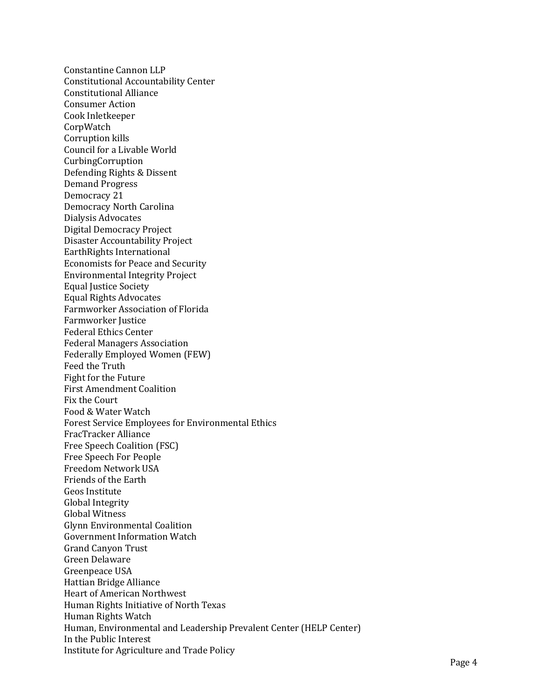Constantine Cannon LLP Constitutional Accountability Center Constitutional Alliance Consumer Action Cook Inletkeeper CorpWatch Corruption kills Council for a Livable World CurbingCorruption Defending Rights & Dissent Demand Progress Democracy 21 Democracy North Carolina Dialysis Advocates Digital Democracy Project Disaster Accountability Project EarthRights International Economists for Peace and Security Environmental Integrity Project Equal Justice Society Equal Rights Advocates Farmworker Association of Florida Farmworker Justice Federal Ethics Center Federal Managers Association Federally Employed Women (FEW) Feed the Truth Fight for the Future First Amendment Coalition Fix the Court Food & Water Watch Forest Service Employees for Environmental Ethics FracTracker Alliance Free Speech Coalition (FSC) Free Speech For People Freedom Network USA Friends of the Earth Geos Institute Global Integrity Global Witness Glynn Environmental Coalition Government Information Watch Grand Canyon Trust Green Delaware Greenpeace USA Hattian Bridge Alliance Heart of American Northwest Human Rights Initiative of North Texas Human Rights Watch Human, Environmental and Leadership Prevalent Center (HELP Center) In the Public Interest Institute for Agriculture and Trade Policy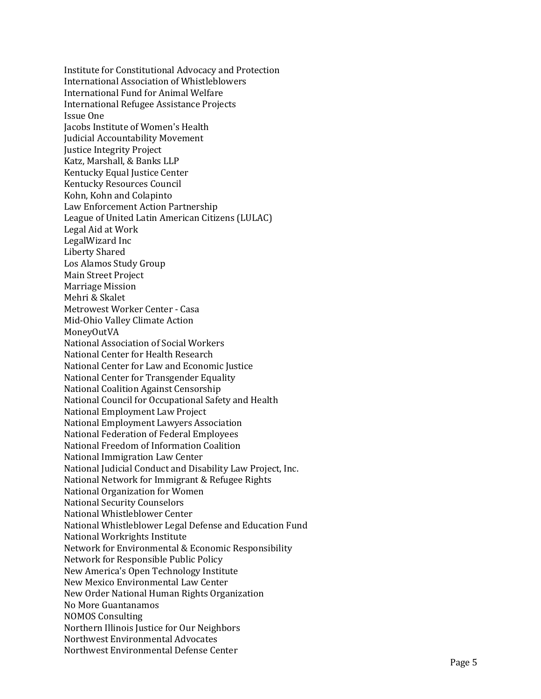Institute for Constitutional Advocacy and Protection International Association of Whistleblowers International Fund for Animal Welfare International Refugee Assistance Projects Issue One Jacobs Institute of Women's Health Judicial Accountability Movement Justice Integrity Project Katz, Marshall, & Banks LLP Kentucky Equal Justice Center Kentucky Resources Council Kohn, Kohn and Colapinto Law Enforcement Action Partnership League of United Latin American Citizens (LULAC) Legal Aid at Work LegalWizard Inc Liberty Shared Los Alamos Study Group Main Street Project Marriage Mission Mehri & Skalet Metrowest Worker Center - Casa Mid-Ohio Valley Climate Action MoneyOutVA National Association of Social Workers National Center for Health Research National Center for Law and Economic Justice National Center for Transgender Equality National Coalition Against Censorship National Council for Occupational Safety and Health National Employment Law Project National Employment Lawyers Association National Federation of Federal Employees National Freedom of Information Coalition National Immigration Law Center National Judicial Conduct and Disability Law Project, Inc. National Network for Immigrant & Refugee Rights National Organization for Women National Security Counselors National Whistleblower Center National Whistleblower Legal Defense and Education Fund National Workrights Institute Network for Environmental & Economic Responsibility Network for Responsible Public Policy New America's Open Technology Institute New Mexico Environmental Law Center New Order National Human Rights Organization No More Guantanamos **NOMOS Consulting** Northern Illinois Justice for Our Neighbors Northwest Environmental Advocates Northwest Environmental Defense Center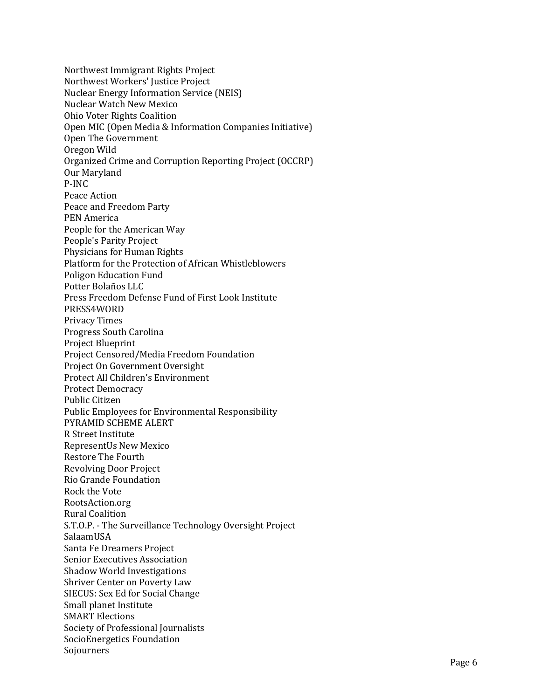Northwest Immigrant Rights Project Northwest Workers' Justice Project Nuclear Energy Information Service (NEIS) Nuclear Watch New Mexico Ohio Voter Rights Coalition Open MIC (Open Media & Information Companies Initiative) Open The Government Oregon Wild Organized Crime and Corruption Reporting Project (OCCRP) Our Maryland P-INC Peace Action Peace and Freedom Party PEN America People for the American Way People's Parity Project Physicians for Human Rights Platform for the Protection of African Whistleblowers Poligon Education Fund Potter Bolaños LLC Press Freedom Defense Fund of First Look Institute PRESS4WORD Privacy Times Progress South Carolina Project Blueprint Project Censored/Media Freedom Foundation Project On Government Oversight Protect All Children's Environment Protect Democracy Public Citizen Public Employees for Environmental Responsibility PYRAMID SCHEME ALERT R Street Institute RepresentUs New Mexico Restore The Fourth Revolving Door Project Rio Grande Foundation Rock the Vote RootsAction.org **Rural Coalition** S.T.O.P. - The Surveillance Technology Oversight Project SalaamUSA Santa Fe Dreamers Project Senior Executives Association Shadow World Investigations Shriver Center on Poverty Law SIECUS: Sex Ed for Social Change Small planet Institute **SMART** Elections Society of Professional Journalists SocioEnergetics Foundation Sojourners